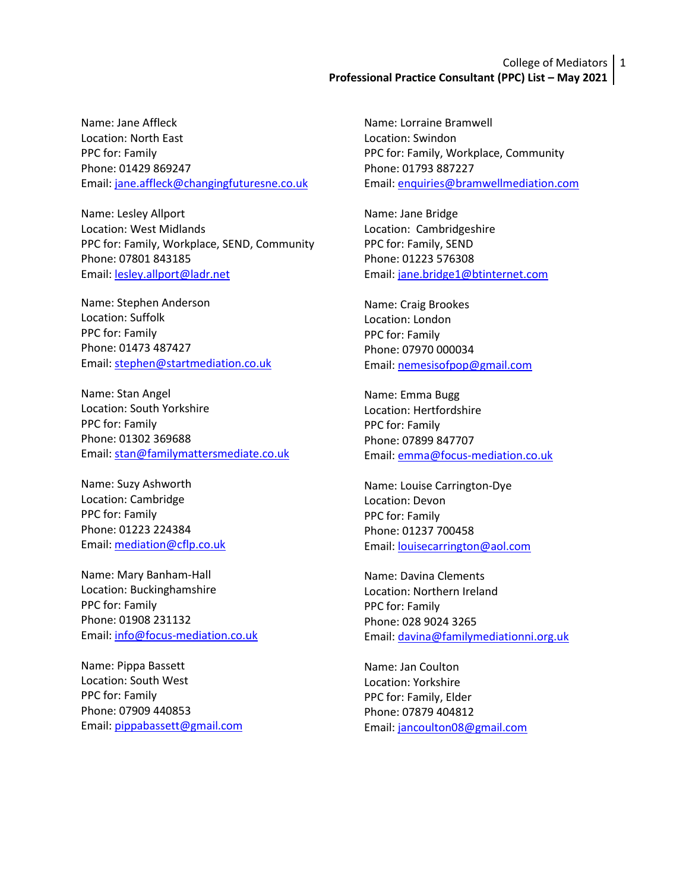# College of Mediators 1 **Professional Practice Consultant (PPC) List – May 2021**

Name: Jane Affleck Location: North East PPC for: Family Phone: 01429 869247 Email: [jane.affleck@changingfuturesne.co.uk](mailto:jane.affleck@changingfuturesne.co.uk)

Name: Lesley Allport Location: West Midlands PPC for: Family, Workplace, SEND, Community Phone: 07801 843185 Email: [lesley.allport@ladr.net](mailto:lesley.allport@ladr.net)

Name: Stephen Anderson Location: Suffolk PPC for: Family Phone: 01473 487427 Email: [stephen@startmediation.co.uk](mailto:stephen@startmediation.co.uk)

Name: Stan Angel Location: South Yorkshire PPC for: Family Phone: 01302 369688 Email: [stan@familymattersmediate.co.uk](mailto:stan@familymattersmediate.co.uk)

Name: Suzy Ashworth Location: Cambridge PPC for: Family Phone: 01223 224384 Email: [mediation@cflp.co.uk](mailto:mediation@cflp.co.uk)

Name: Mary Banham-Hall Location: Buckinghamshire PPC for: Family Phone: 01908 231132 Email: [info@focus-mediation.co.uk](mailto:info@focus-mediation.co.uk)

Name: Pippa Bassett Location: South West PPC for: Family Phone: 07909 440853 Email: [pippabassett@gmail.com](mailto:pippabassett@gmail.com) Name: Lorraine Bramwell Location: Swindon PPC for: Family, Workplace, Community Phone: 01793 887227 Email[: enquiries@bramwellmediation.com](mailto:enquiries@bramwellmediation.com)

Name: Jane Bridge Location: Cambridgeshire PPC for: Family, SEND Phone: 01223 576308 Email: [jane.bridge1@btinternet.com](mailto:jane.bridge1@btinternet.com)

Name: Craig Brookes Location: London PPC for: Family Phone: 07970 000034 Email[: nemesisofpop@gmail.com](mailto:nemesisofpop@gmail.com)

Name: Emma Bugg Location: Hertfordshire PPC for: Family Phone: 07899 847707 Email[: emma@focus-mediation.co.uk](mailto:emma@focus-mediation.co.uk)

Name: Louise Carrington-Dye Location: Devon PPC for: Family Phone: 01237 700458 Email[: louisecarrington@aol.com](mailto:louisecarrington@aol.com)

Name: Davina Clements Location: Northern Ireland PPC for: Family Phone: 028 9024 3265 Email[: davina@familymediationni.org.uk](mailto:davina@familymediationni.org.uk) 

Name: Jan Coulton Location: Yorkshire PPC for: Family, Elder Phone: 07879 404812 Email[: jancoulton08@gmail.com](mailto:jancoulton08@gmail.com)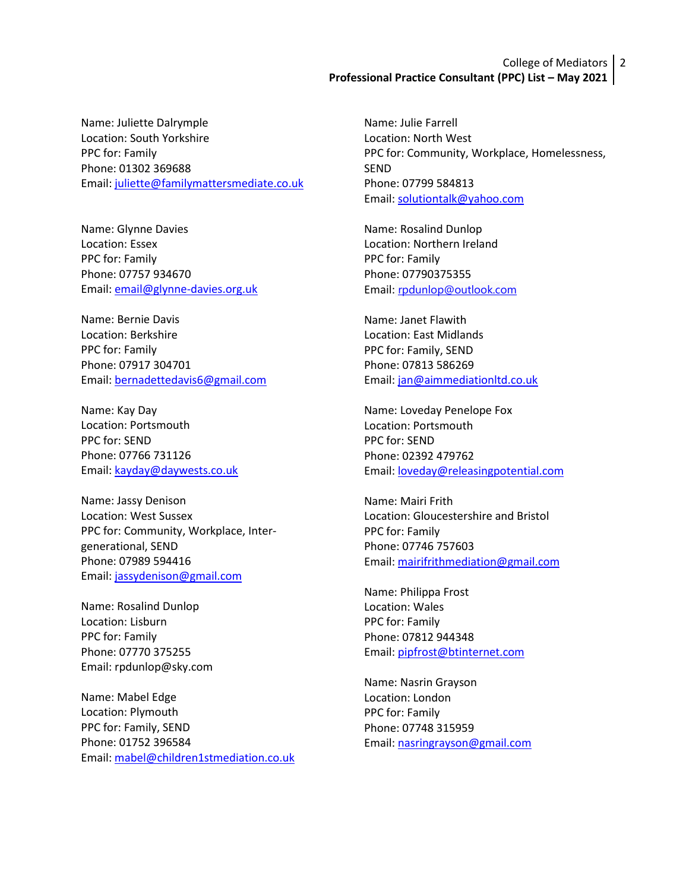# College of Mediators 2 **Professional Practice Consultant (PPC) List – May 2021**

Name: Juliette Dalrymple Location: South Yorkshire PPC for: Family Phone: 01302 369688 Email: [juliette@familymattersmediate.co.uk](mailto:juliette@familymattersmediate.co.uk)

Name: Glynne Davies Location: Essex PPC for: Family Phone: 07757 934670 Email: [email@glynne-davies.org.uk](mailto:email@glynne-davies.org.uk)

Name: Bernie Davis Location: Berkshire PPC for: Family Phone: 07917 304701 Email: [bernadettedavis6@gmail.com](mailto:bernadettedavis6@gmail.com)

Name: Kay Day Location: Portsmouth PPC for: SEND Phone: 07766 731126 Email: [kayday@daywests.co.uk](mailto:kayday@daywests.co.uk)

Name: Jassy Denison Location: West Sussex PPC for: Community, Workplace, Intergenerational, SEND Phone: 07989 594416 Email: [jassydenison@gmail.com](mailto:jassydenison@gmail.com)

Name: Rosalind Dunlop Location: Lisburn PPC for: Family Phone: 07770 375255 Email: rpdunlop@sky.com

Name: Mabel Edge Location: Plymouth PPC for: Family, SEND Phone: 01752 396584 Email: [mabel@children1stmediation.co.uk](mailto:mabel@children1stmediation.co.uk) Name: Julie Farrell Location: North West PPC for: Community, Workplace, Homelessness, SEND Phone: 07799 584813 Email: [solutiontalk@yahoo.com](mailto:solutiontalk@yahoo.com)

Name: Rosalind Dunlop Location: Northern Ireland PPC for: Family Phone: 07790375355 Email: [rpdunlop@outlook.com](mailto:rpdunlop@outlook.com)

Name: Janet Flawith Location: East Midlands PPC for: Family, SEND Phone: 07813 586269 Email: [jan@aimmediationltd.co.uk](mailto:jan@aimmediationltd.co.uk)

Name: Loveday Penelope Fox Location: Portsmouth PPC for: SEND Phone: 02392 479762 Email[: loveday@releasingpotential.com](mailto:loveday@releasingpotential.com)

Name: Mairi Frith Location: Gloucestershire and Bristol PPC for: Family Phone: 07746 757603 Email[: mairifrithmediation@gmail.com](mailto:mairifrithmediation@gmail.com)

Name: Philippa Frost Location: Wales PPC for: Family Phone: 07812 944348 Email[: pipfrost@btinternet.com](mailto:pipfrost@btinternet.com) 

Name: Nasrin Grayson Location: London PPC for: Family Phone: 07748 315959 Email: [nasringrayson@gmail.com](mailto:nasringrayson@gmail.com)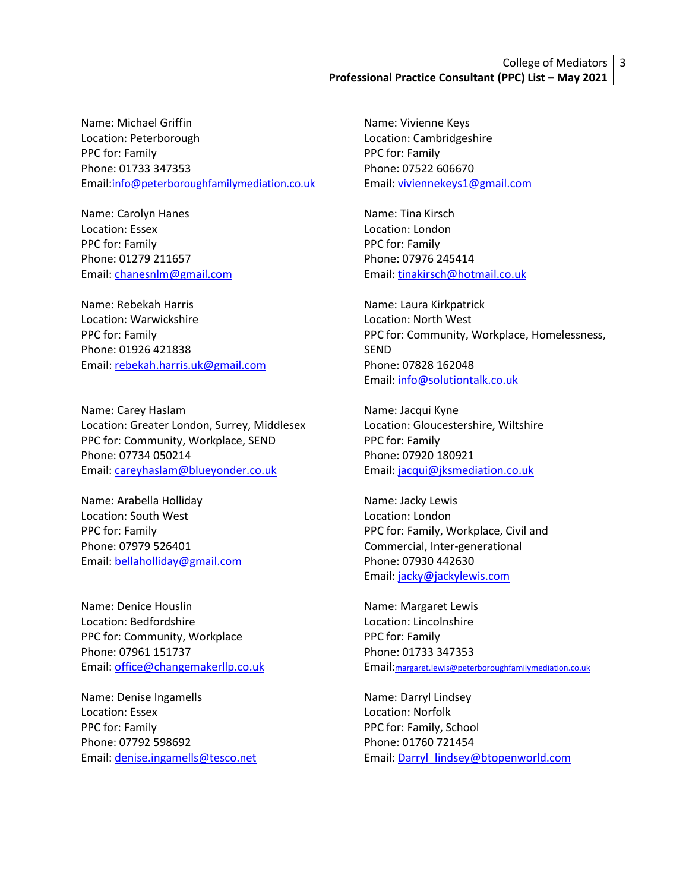# College of Mediators 3 **Professional Practice Consultant (PPC) List – May 2021**

Name: Michael Griffin Location: Peterborough PPC for: Family Phone: 01733 347353 Email:[info@peterboroughfamilymediation.co.uk](mailto:info@peterboroughfamilymediation.co.uk)

Name: Carolyn Hanes Location: Essex PPC for: Family Phone: 01279 211657 Email: [chanesnlm@gmail.com](mailto:chanesnlm@gmail.com)

Name: Rebekah Harris Location: Warwickshire PPC for: Family Phone: 01926 421838 Email: [rebekah.harris.uk@gmail.com](mailto:rebekah.harris.uk@gmail.com)

Name: Carey Haslam Location: Greater London, Surrey, Middlesex PPC for: Community, Workplace, SEND Phone: 07734 050214 Email: [careyhaslam@blueyonder.co.uk](mailto:careyhaslam@blueyonder.co.uk)

Name: Arabella Holliday Location: South West PPC for: Family Phone: 07979 526401 Email: [bellaholliday@gmail.com](mailto:bellaholliday@gmail.com) 

Name: Denice Houslin Location: Bedfordshire PPC for: Community, Workplace Phone: 07961 151737 Email: [office@changemakerllp.co.uk](mailto:office@changemakerllp.co.uk)

Name: Denise Ingamells Location: Essex PPC for: Family Phone: 07792 598692 Email: [denise.ingamells@tesco.net](mailto:denise.ingamells@tesco.net) Name: Vivienne Keys Location: Cambridgeshire PPC for: Family Phone: 07522 606670 Email[: viviennekeys1@gmail.com](mailto:viviennekeys1@gmail.com)

Name: Tina Kirsch Location: London PPC for: Family Phone: 07976 245414 Email: [tinakirsch@hotmail.co.uk](mailto:tinakirsch@hotmail.co.uk) 

Name: Laura Kirkpatrick Location: North West PPC for: Community, Workplace, Homelessness, SEND Phone: 07828 162048 Email: [info@solutiontalk.co.uk](mailto:info@solutiontalk.co.uk)

Name: Jacqui Kyne Location: Gloucestershire, Wiltshire PPC for: Family Phone: 07920 180921 Email[: jacqui@jksmediation.co.uk](mailto:jacqui@jksmediation.co.uk)

Name: Jacky Lewis Location: London PPC for: Family, Workplace, Civil and Commercial, Inter-generational Phone: 07930 442630 Email: [jacky@jackylewis.com](mailto:jacky@jackylewis.com)

Name: Margaret Lewis Location: Lincolnshire PPC for: Family Phone: 01733 347353 Email:[margaret.lewis@peterboroughfamilymediation.co.uk](mailto:margaret.lewis@peterboroughfamilymediation.co.uk)

Name: Darryl Lindsey Location: Norfolk PPC for: Family, School Phone: 01760 721454 Email: [Darryl\\_lindsey@btopenworld.com](mailto:Darryl_lindsey@btopenworld.com)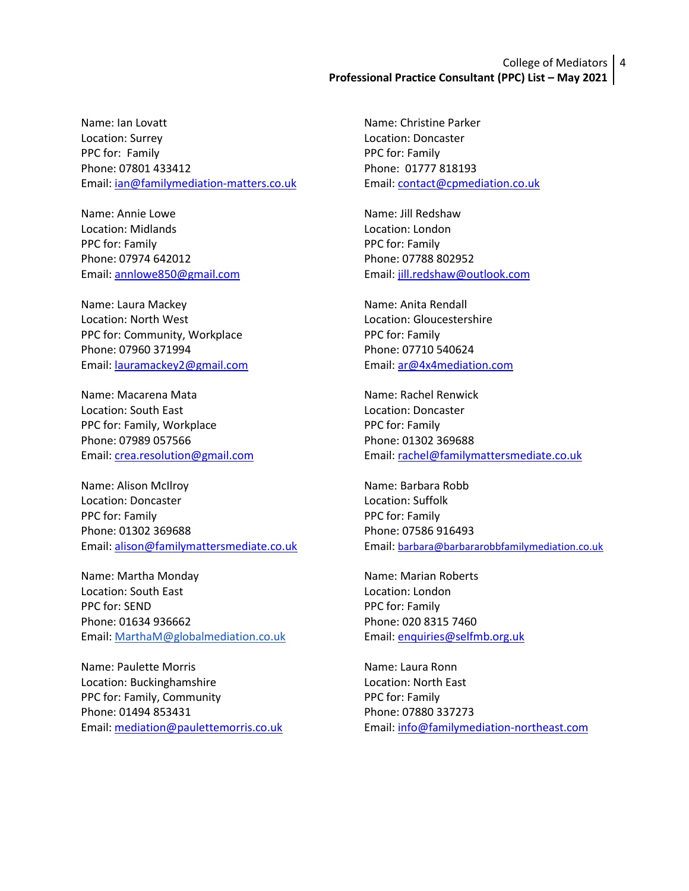# College of Mediators 4 **Professional Practice Consultant (PPC) List – May 2021**

Name: Ian Lovatt Location: Surrey PPC for: Family Phone: 07801 433412 Email: [ian@familymediation-matters.co.uk](mailto:ian@familymediation-matters.co.uk)

Name: Annie Lowe Location: Midlands PPC for: Family Phone: 07974 642012 Email: [annlowe850@gmail.com](mailto:annlowe850@gmail.com)

Name: Laura Mackey Location: North West PPC for: Community, Workplace Phone: 07960 371994 Email: [lauramackey2@gmail.com](mailto:lauramackey2@gmail.com)

Name: Macarena Mata Location: South East PPC for: Family, Workplace Phone: 07989 057566 Email: [crea.resolution@gmail.com](mailto:crea.resolution@gmail.com)

Name: Alison McIlroy Location: Doncaster PPC for: Family Phone: 01302 369688 Email: [alison@familymattersmediate.co.uk](mailto:alison@familymattersmediate.co.uk)

Name: Martha Monday Location: South East PPC for: SEND Phone: 01634 936662 Email: [MarthaM@globalmediation.co.uk](mailto:MarthaM@globalmediation.co.uk)

Name: Paulette Morris Location: Buckinghamshire PPC for: Family, Community Phone: 01494 853431 Email: [mediation@paulettemorris.co.uk](mailto:mediation@paulettemorris.co.uk) Name: Christine Parker Location: Doncaster PPC for: Family Phone: 01777 818193 Email[: contact@cpmediation.co.uk](mailto:contact@cpmediation.co.uk)

Name: Jill Redshaw Location: London PPC for: Family Phone: 07788 802952 Email[: jill.redshaw@outlook.com](mailto:jill.redshaw@outlook.com)

Name: Anita Rendall Location: Gloucestershire PPC for: Family Phone: 07710 540624 Email[: ar@4x4mediation.com](mailto:ar@4x4mediation.com)

Name: Rachel Renwick Location: Doncaster PPC for: Family Phone: 01302 369688 Email[: rachel@familymattersmediate.co.uk](mailto:rachel@familymattersmediate.co.uk) 

Name: Barbara Robb Location: Suffolk PPC for: Family Phone: 07586 916493 Email: [barbara@barbararobbfamilymediation.co.uk](mailto:barbara@barbararobbfamilymediation.co.uk)

Name: Marian Roberts Location: London PPC for: Family Phone: 020 8315 7460 Email[: enquiries@selfmb.org.uk](mailto:enquiries@selfmb.org.uk)

Name: Laura Ronn Location: North East PPC for: Family Phone: 07880 337273 Email[: info@familymediation-northeast.com](mailto:info@familymediation-northeast.com)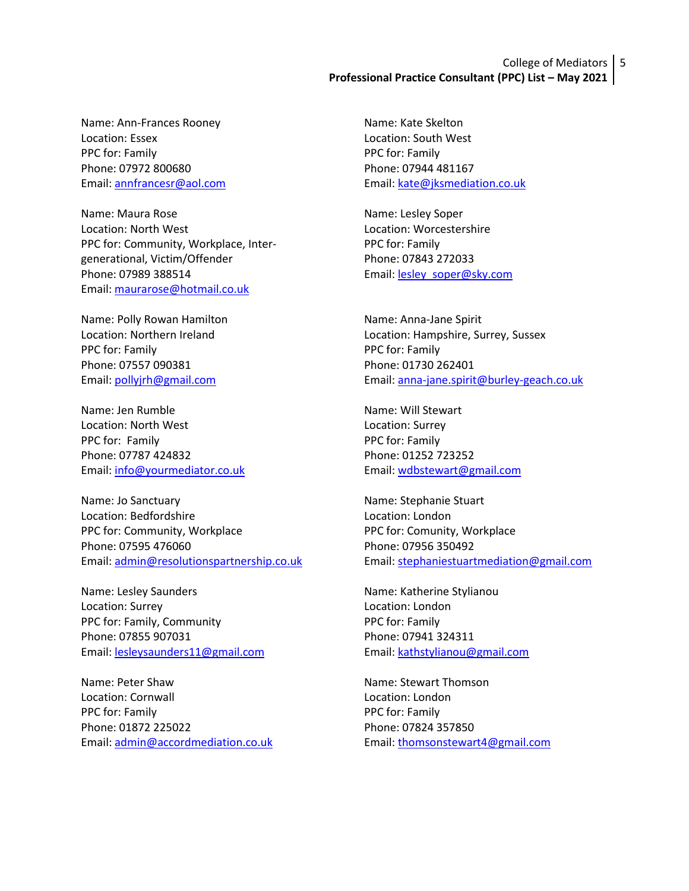# College of Mediators 5 **Professional Practice Consultant (PPC) List – May 2021**

Name: Ann-Frances Rooney Location: Essex PPC for: Family Phone: 07972 800680 Email: [annfrancesr@aol.com](mailto:annfrancesr@aol.com)

Name: Maura Rose Location: North West PPC for: Community, Workplace, Intergenerational, Victim/Offender Phone: 07989 388514 Email: [maurarose@hotmail.co.uk](mailto:maurarose@hotmail.co.uk) 

Name: Polly Rowan Hamilton Location: Northern Ireland PPC for: Family Phone: 07557 090381 Email: [pollyjrh@gmail.com](mailto:pollyjrh@gmail.com)

Name: Jen Rumble Location: North West PPC for: Family Phone: 07787 424832 Email: [info@yourmediator.co.uk](mailto:info@yourmediator.co.uk)

Name: Jo Sanctuary Location: Bedfordshire PPC for: Community, Workplace Phone: 07595 476060 Email: [admin@resolutionspartnership.co.uk](mailto:admin@resolutionspartnership.co.uk)

Name: Lesley Saunders Location: Surrey PPC for: Family, Community Phone: 07855 907031 Email: [lesleysaunders11@gmail.com](mailto:lesleysaunders11@gmail.com)

Name: Peter Shaw Location: Cornwall PPC for: Family Phone: 01872 225022 Email: [admin@accordmediation.co.uk](mailto:admin@accordmediation.co.uk) Name: Kate Skelton Location: South West PPC for: Family Phone: 07944 481167 Email[: kate@jksmediation.co.uk](mailto:kate@jksmediation.co.uk) 

Name: Lesley Soper Location: Worcestershire PPC for: Family Phone: 07843 272033 Email[: lesley\\_soper@sky.com](mailto:lesley_soper@sky.com)

Name: Anna-Jane Spirit Location: Hampshire, Surrey, Sussex PPC for: Family Phone: 01730 262401 Email[: anna-jane.spirit@burley-geach.co.uk](mailto:anna-jane.spirit@burley-geach.co.uk)

Name: Will Stewart Location: Surrey PPC for: Family Phone: 01252 723252 Email: [wdbstewart@gmail.com](mailto:wdbstewart@gmail.com)

Name: Stephanie Stuart Location: London PPC for: Comunity, Workplace Phone: 07956 350492 Email[: stephaniestuartmediation@gmail.com](mailto:stephaniestuartmediation@gmail.com)

Name: Katherine Stylianou Location: London PPC for: Family Phone: 07941 324311 Email[: kathstylianou@gmail.com](mailto:kathstylianou@gmail.com)

Name: Stewart Thomson Location: London PPC for: Family Phone: 07824 357850 Email[: thomsonstewart4@gmail.com](mailto:thomsonstewart4@gmail.com)